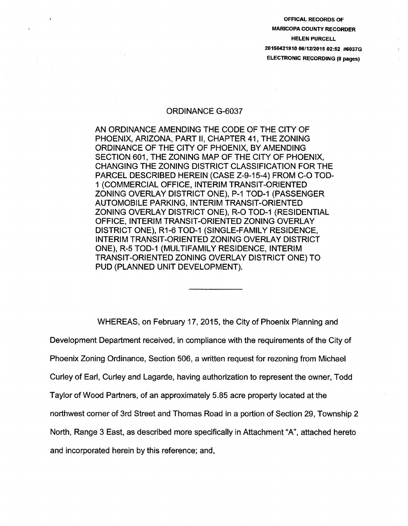OFFICAL RECORDS OF MARICOPA COUNTY RECORDER HELEN PURCELL 20150421910 06/1212015 02:52 #6037G ELECTRONIC RECORDING (8 pages)

#### ORDINANCE G-6037

AN ORDINANCE AMENDING THE CODE OF THE CITY OF PHOENIX, ARIZONA, PART II, CHAPTER 41, THE ZONING ORDINANCE OF THE CITY OF PHOENIX, BY AMENDING SECTION 601, THE ZONING MAP OF THE CITY OF PHOENIX, CHANGING THE ZONING DISTRICT CLASSIFICATION FOR THE PARCEL DESCRIBED HEREIN (CASE Z-9-15-4) FROM C-0 TOD-1 (COMMERCIAL OFFICE, INTERIM TRANSIT-ORIENTED ZONING OVERLAY DISTRICT ONE), P-1 TOD-1 (PASSENGER AUTOMOBILE PARKING, INTERIM TRANSIT-ORIENTED ZONING OVERLAY DISTRICT ONE), R-0 TOD-1 (RESIDENTIAL OFFICE, INTERIM TRANSIT-ORIENTED ZONING OVERLAY DISTRICT ONE), R1-6 TOD-1 (SINGLE-FAMILY RESIDENCE, INTERIM TRANSIT-ORIENTED ZONING OVERLAY DISTRICT ONE), R-5 TOD-1 (MULTIFAMILY RESIDENCE, INTERIM TRANSIT-ORIENTED ZONING OVERLAY DISTRICT ONE) TO PUD (PLANNED UNIT DEVELOPMENT).

WHEREAS, on February 17, 2015, the City of Phoenix Planning and Development Department received, in compliance with the requirements of the City of Phoenix Zoning Ordinance, Section 506, a written request for rezoning from Michael Curley of Earl, Curley and Lagarde, having authorization to represent the owner, Todd Taylor of Wood Partners, of an approximately 5.85 acre property located at the northwest corner of 3rd Street and Thomas Road in a portion of Section 29, Township 2 North, Range 3 East, as described more specifically in Attachment "A", attached hereto and incorporated herein by this reference; and,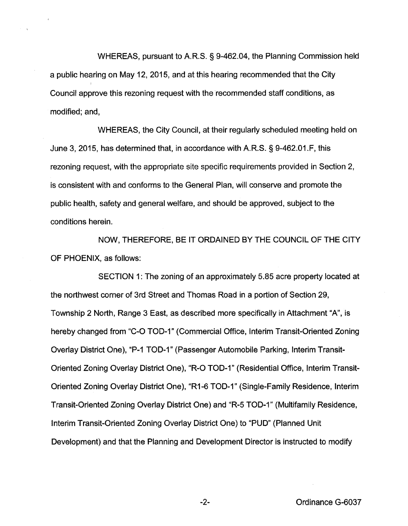WHEREAS, pursuant to A.R.S. § 9-462.04, the Planning Commission held a public hearing on May 12, 2015, and at this hearing recommended that the City Council approve this rezoning request with the recommended staff conditions, as modified; and,

WHEREAS, the City Council, at their regularly scheduled meeting held on June 3, 2015, has determined that, in accordance with A.R.S. § 9-462.01.F, this rezoning request, with the appropriate site specific requirements provided in Section 2, is consistent with and conforms to the General Plan, will conserve and promote the public health, safety and general welfare, and should be approved, subject to the conditions herein.

NOW, THEREFORE, BE IT ORDAINED BY THE COUNCIL OF THE CITY OF PHOENIX, as follows:

SECTION 1: The zoning of an approximately 5.85 acre property located at the northwest corner of 3rd Street and Thomas Road in a portion of Section 29, Township 2 North, Range 3 East, as described more specifically in Attachment "A", is hereby changed from "C-0 TOD-1" (Commercial Office, Interim Transit-Oriented Zoning Overlay District One), "P-1 TOD-1" (Passenger Automobile Parking, Interim Transit-Oriented Zoning Overlay District One), "R-0 TOD-1" (Residential Office, Interim Transit-Oriented Zoning Overlay District One), "R1-6 TOD-1" (Single-Family Residence, Interim Transit-Oriented Zoning Overlay District One) and "R-5 TOD-1" (Multifamily Residence, Interim Transit-Oriented Zoning Overlay District One) to "PUD" (Planned Unit Development) and that the Planning and Development Director is instructed to modify

-2- Ordinance G-6037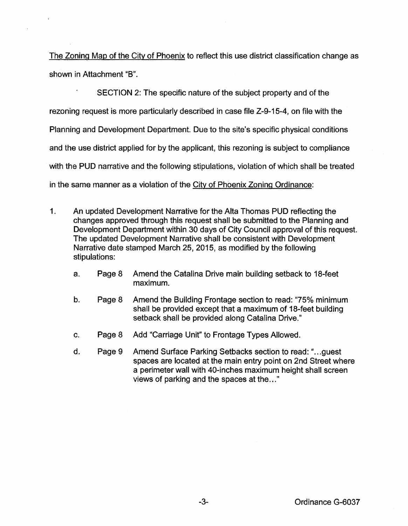The Zoning Map of the City of Phoenix to reflect this use district classification change as shown in Attachment "8".

SECTION 2: The specific nature of the subject property and of the rezoning request is more particularly described in case file Z-9-15-4, on file with the Planning and Development Department. Due to the site's specific physical conditions and the use district applied for by the applicant, this rezoning is subject to compliance with the PUD narrative and the following stipulations, violation of which shall be treated in the same manner as a violation of the City of Phoenix Zoning Ordinance:

- 1. An updated Development Narrative for the Alta Thomas PUD reflecting the changes approved through this request shall be submitted to the Planning and Development Department within 30 days of City Council approval of this request. The updated Development Narrative shall be consistent with Development Narrative date stamped March 25, 2015, as modified by the following stipulations:
	- a. Page 8 Amend the Catalina Drive main building setback to 18-feet maximum.
	- b. Page 8 Amend the Building Frontage section to read: "75% minimum shall be provided except that a maximum of 18-feet building setback shall be provided along Catalina Drive."
	- c. Page 8 Add "Carriage Unit" to Frontage Types Allowed.
	- d. Page 9 Amend Surface Parking Setbacks section to read: "... quest spaces are located at the main entry point on 2nd Street where a perimeter wall with 40-inches maximum height shall screen views of parking and the spaces at the..."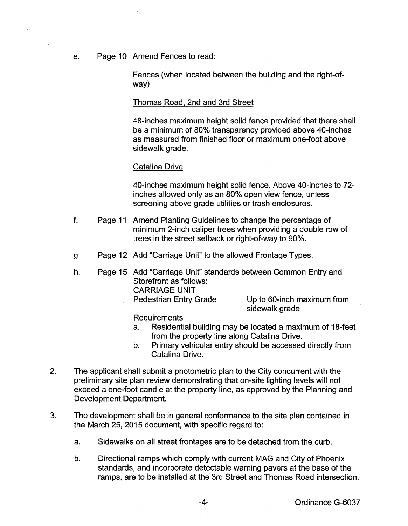e. Page 10 Amend Fences to read:

Fences (when located between the building and the right-ofway)

### Thomas Road, 2nd and 3rd Street

48-inches maximum height solid fence provided that there shall be a minimum of 80% transparency provided above 40-inches as measured from finished floor or maximum one-foot above sidewalk grade.

## Catalina Drive

40-inches maximum height solid fence. Above 40-inches to 72 inches allowed only as an 80% open view fence, unless screening above grade utilities or trash enclosures.

- f. Page 11 Amend Planting Guidelines to change the percentage of minimum 2-inch caliper trees when providing a double row of trees in the street setback or right-of-way to 90%.
- g. Page 12 Add "Carriage Unit" to the allowed Frontage Types.

h. Page 15 Add "Carriage Unit" standards between Common Entry and Storefront as follows: CARRIAGE UNIT Pedestrian Entry Grade Up to 60-inch maximum from

**Requirements** 

a. Residential building may be located a maximum of 18-feet from the property line along Catalina Drive.

sidewalk grade

- b. Primary vehicular entry should be accessed directly from Catalina Drive.
- 2. The applicant shall submit a photometric plan to the City concurrent with the preliminary site plan review demonstrating that on-site lighting levels will not exceed a one-foot candle at the property line, as approved by the Planning and Development Department.
- 3. The development shall be in general conformance to the site plan contained in the March 25, 2015 document, with specific regard to:
	- a. Sidewalks on all street frontages are to be detached from the curb.
	- b. Directional ramps which comply with current MAG and City of Phoenix standards, and incorporate detectable warning pavers at the base of the ramps, are to be installed at the 3rd Street and Thomas Road intersection.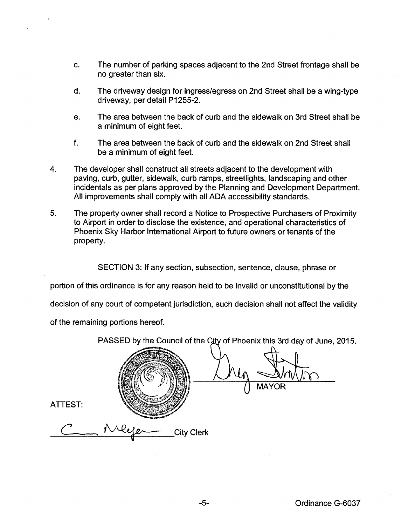- c. The number of parking spaces adjacent to the 2nd Street frontage shall be no greater than six.
- d. The driveway design for ingress/egress on 2nd Street shall be a wing-type driveway, per detail P1255-2.
- e. The area between the back of curb and the sidewalk on 3rd Street shall be a minimum of eight feet.
- f. The area between the back of curb and the sidewalk on 2nd Street shall be a minimum of eight feet.
- 4. The developer shall construct all streets adjacent to the development with paving, curb, gutter, sidewalk, curb ramps, streetlights, landscaping and other incidentals as per plans approved by the Planning and Development Department. All improvements shall comply with all ADA accessibility standards.
- 5. The property owner shall record a Notice to Prospective Purchasers of Proximity to Airport in order to disclose the existence, and operational characteristics of Phoenix Sky Harbor International Airport to future owners or tenants of the property.

SECTION 3: If any section, subsection, sentence, clause, phrase or

portion of this ordinance is for any reason held to be invalid or unconstitutional by the

decision of any court of competent jurisdiction, such decision shall not affect the validity

of the remaining portions hereof.

PASSED by the Council of the City of Phoenix this 3rd day of June, 2015.

ATTEST: TEST:<br>C\_\_\_\_\_\_\_\_\_\_\_\_\_\_\_\_\_\_\_\_\_CityClerk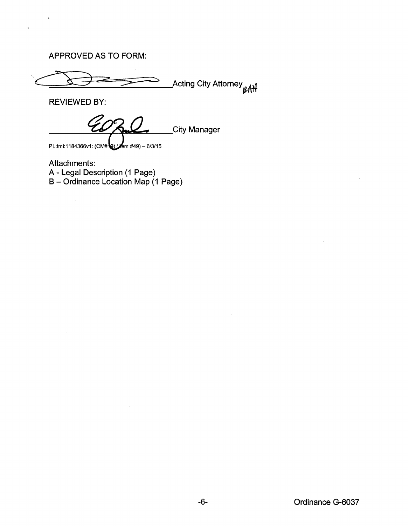APPROVED AS TO FORM:

REVIEWED BY:

 $\ddot{\phantom{a}}$ 

**City Manager** 

PL:tml:1184366v1: (CM# 10) (Vem #49) - 6/3/15

Attachments: A - Legal Description (1 Page) B- Ordinance Location Map (1 Page)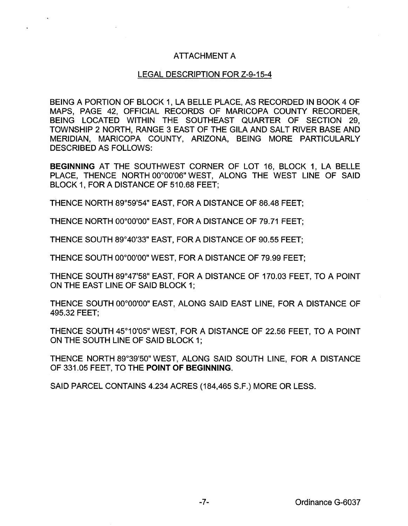# ATTACHMENT A

#### LEGAL DESCRIPTION FOR Z-9-15-4

BEING A PORTION OF BLOCK 1, LA BELLE PLACE, AS RECORDED IN BOOK 4 OF MAPS, PAGE 42, OFFICIAL RECORDS OF MARICOPA COUNTY RECORDER, BEING LOCATED WITHIN THE SOUTHEAST QUARTER OF SECTION 29, TOWNSHIP 2 NORTH, RANGE 3 EAST OF THE GILA AND SALT RIVER BASE AND MERIDIAN, MARICOPA COUNTY, ARIZONA, BEING MORE PARTICULARLY DESCRIBED AS FOLLOWS:

BEGINNING AT THE SOUTHWEST CORNER OF LOT 16, BLOCK 1, LA BELLE PLACE, THENCE NORTH 00°00'06" WEST, ALONG THE WEST LINE OF SAID BLOCK 1, FOR A DISTANCE OF 510.68 FEET;

THENCE NORTH 89°59'54" EAST, FORA DISTANCE OF 86.48 FEET;

THENCE NORTH 00°00'00" EAST, FORA DISTANCE OF 79.71 FEET;

THENCE SOUTH 89°40'33" EAST, FORA DISTANCE OF 90.55 FEET;

THENCE SOUTH 00°00'00" WEST, FOR A DISTANCE OF 79.99 FEET;

THENCE SOUTH 89°47'58" EAST, FOR A DISTANCE OF 170.03 FEET, TO A POINT ON THE EAST LINE OF SAID BLOCK 1;

THENCE SOUTH 00°00'00" EAST, ALONG SAID EAST LINE, FOR A DISTANCE OF 495.32 FEET;

THENCE SOUTH 45°10'05" WEST, FOR A DISTANCE OF 22.56 FEET, TO A POINT ON THE SOUTH LINE OF SAID BLOCK 1;

THENCE NORTH 89°39'50"WEST, ALONG SAID SOUTH LINE, FOR A DISTANCE OF 331.05 FEET, TO THE POINT OF BEGINNING.

SAID PARCEL CONTAINS 4.234 ACRES (184,465 S.F.) MORE OR LESS.